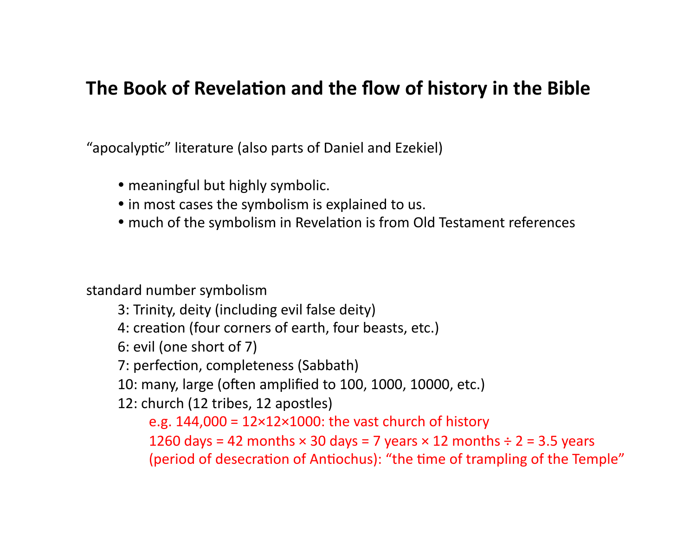# The Book of Revelation and the flow of history in the Bible

"apocalyptic" literature (also parts of Daniel and Ezekiel)

- meaningful but highly symbolic.
- in most cases the symbolism is explained to us.
- much of the symbolism in Revelation is from Old Testament references

standard number symbolism

- 3: Trinity, deity (including evil false deity)
- 4: creation (four corners of earth, four beasts, etc.)
- 6: evil (one short of 7)
- 7: perfection, completeness (Sabbath)
- 10: many, large (often amplified to 100, 1000, 10000, etc.)
- 12: church (12 tribes, 12 apostles)

e.g.  $144,000 = 12 \times 12 \times 1000$ : the vast church of history 1260 days = 42 months  $\times$  30 days = 7 years  $\times$  12 months  $\div$  2 = 3.5 years (period of desecration of Antiochus): "the time of trampling of the Temple"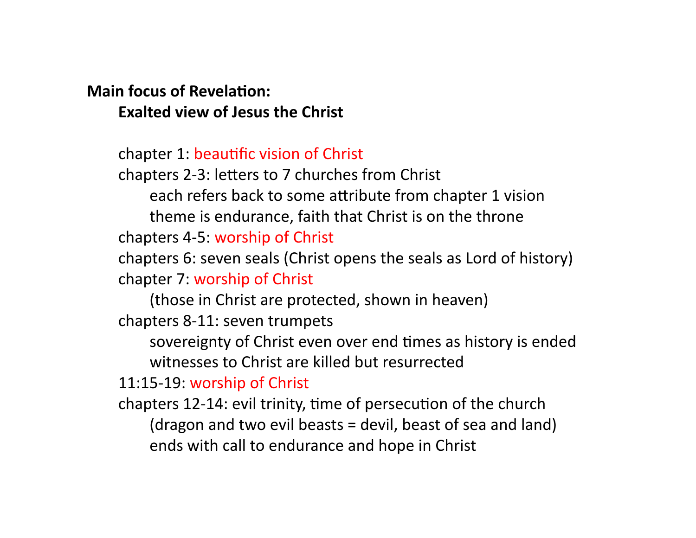# **Main focus of Revelation: Exalted view of Jesus the Christ**

chapter 1: beautific vision of Christ

chapters 2-3: letters to 7 churches from Christ

each refers back to some attribute from chapter 1 vision

theme is endurance, faith that Christ is on the throne chapters 4-5: worship of Christ

chapters 6: seven seals (Christ opens the seals as Lord of history) chapter 7: worship of Christ

(those in Christ are protected, shown in heaven) chapters 8-11: seven trumpets

sovereignty of Christ even over end times as history is ended witnesses to Christ are killed but resurrected

11:15-19: worship of Christ

chapters 12-14: evil trinity, time of persecution of the church (dragon and two evil beasts  $=$  devil, beast of sea and land) ends with call to endurance and hope in Christ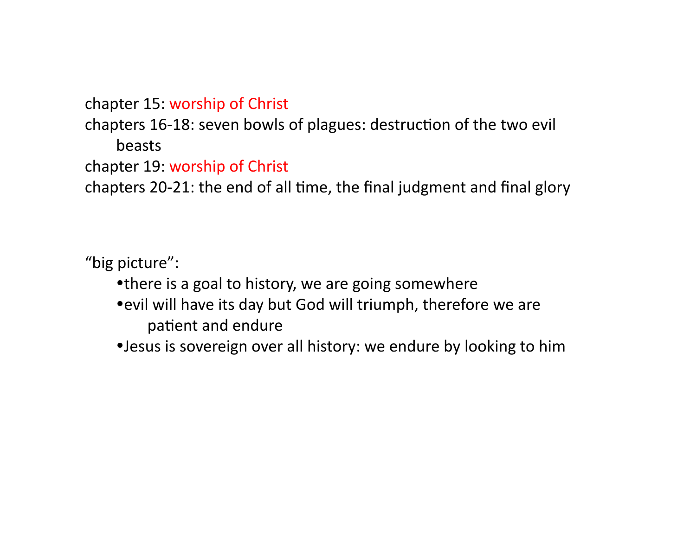chapter 15: worship of Christ

chapters 16-18: seven bowls of plagues: destruction of the two evil beasts 

chapter 19: worship of Christ

chapters 20-21: the end of all time, the final judgment and final glory

"big picture":

- there is a goal to history, we are going somewhere
- evil will have its day but God will triumph, therefore we are patient and endure
- Jesus is sovereign over all history: we endure by looking to him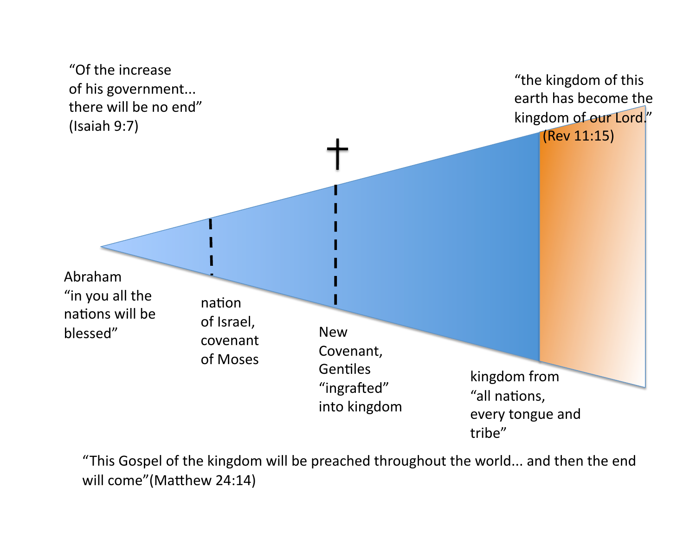

"This Gospel of the kingdom will be preached throughout the world... and then the end will come" (Matthew 24:14)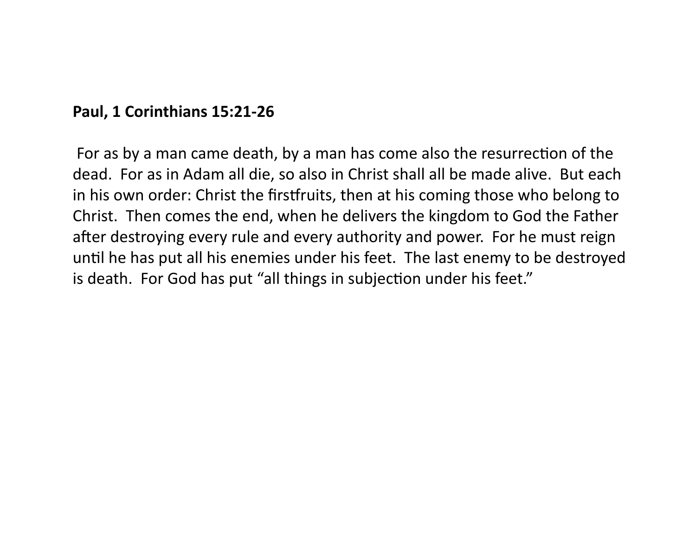# **Paul, 1 Corinthians 15:21-26**

For as by a man came death, by a man has come also the resurrection of the dead. For as in Adam all die, so also in Christ shall all be made alive. But each in his own order: Christ the firstfruits, then at his coming those who belong to Christ. Then comes the end, when he delivers the kingdom to God the Father after destroying every rule and every authority and power. For he must reign until he has put all his enemies under his feet. The last enemy to be destroyed is death. For God has put "all things in subjection under his feet."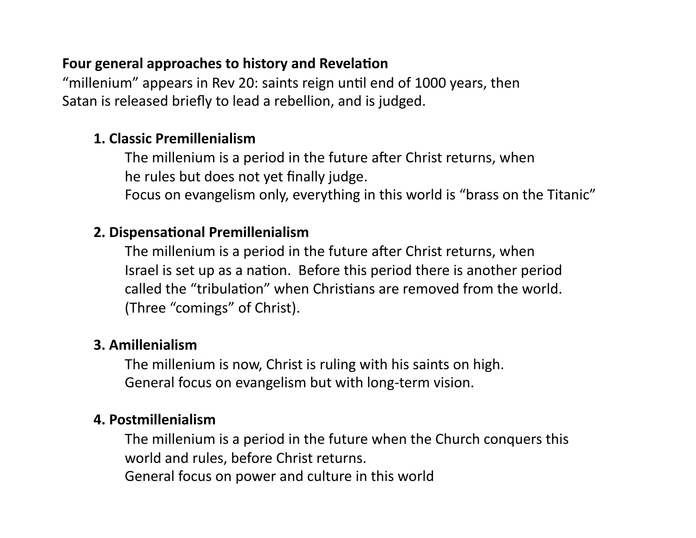### **Four general approaches to history and Revelation**

"millenium" appears in Rev 20: saints reign until end of 1000 years, then Satan is released briefly to lead a rebellion, and is judged.

### **1. Classic Premillenialism**

The millenium is a period in the future after Christ returns, when he rules but does not yet finally judge.

Focus on evangelism only, everything in this world is "brass on the Titanic"

### **2. Dispensational Premillenialism**

The millenium is a period in the future after Christ returns, when Israel is set up as a nation. Before this period there is another period called the "tribulation" when Christians are removed from the world. (Three "comings" of Christ).

### **3. Amillenialism**

The millenium is now, Christ is ruling with his saints on high. General focus on evangelism but with long-term vision.

### **4. Postmillenialism**

The millenium is a period in the future when the Church conquers this world and rules, before Christ returns.

General focus on power and culture in this world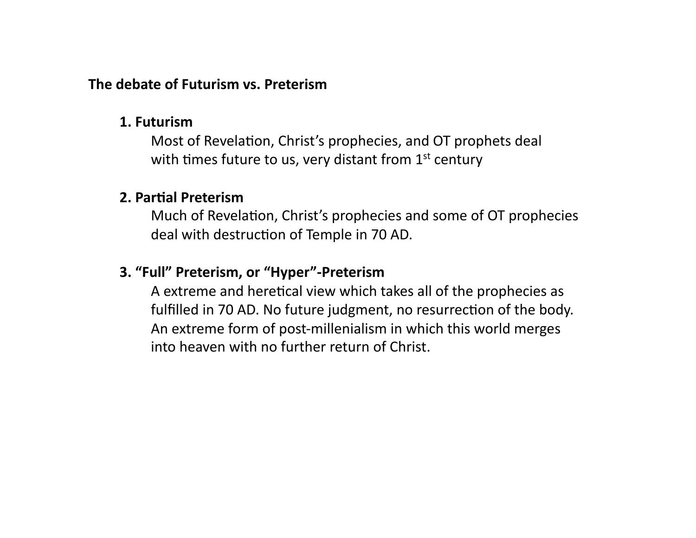### **The debate of Futurism vs. Preterism**

#### **1. Futurism**

**Most of Revelation, Christ's prophecies, and OT prophets deal** with times future to us, very distant from  $1<sup>st</sup>$  century

#### **2. Partial Preterism**

Much of Revelation, Christ's prophecies and some of OT prophecies deal with destruction of Temple in 70 AD.

### **3. "Full" Preterism, or "Hyper"-Preterism**

A extreme and heretical view which takes all of the prophecies as fulfilled in 70 AD. No future judgment, no resurrection of the body. An extreme form of post-millenialism in which this world merges into heaven with no further return of Christ.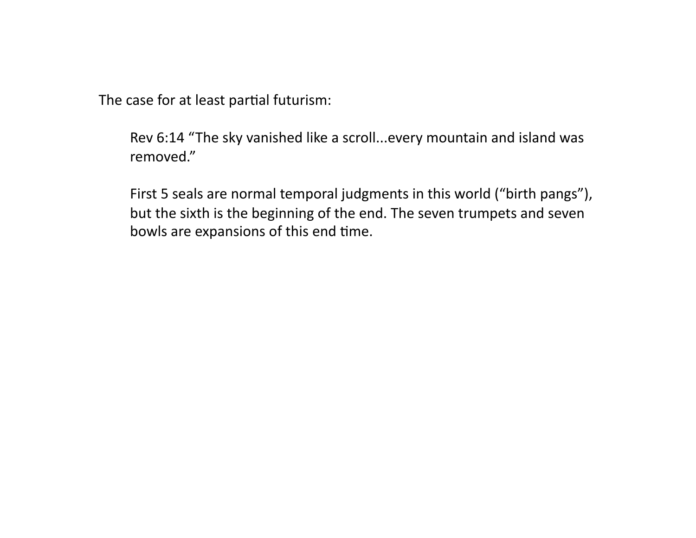The case for at least partial futurism:

Rev 6:14 "The sky vanished like a scroll...every mountain and island was removed." 

First 5 seals are normal temporal judgments in this world ("birth pangs"), but the sixth is the beginning of the end. The seven trumpets and seven bowls are expansions of this end time.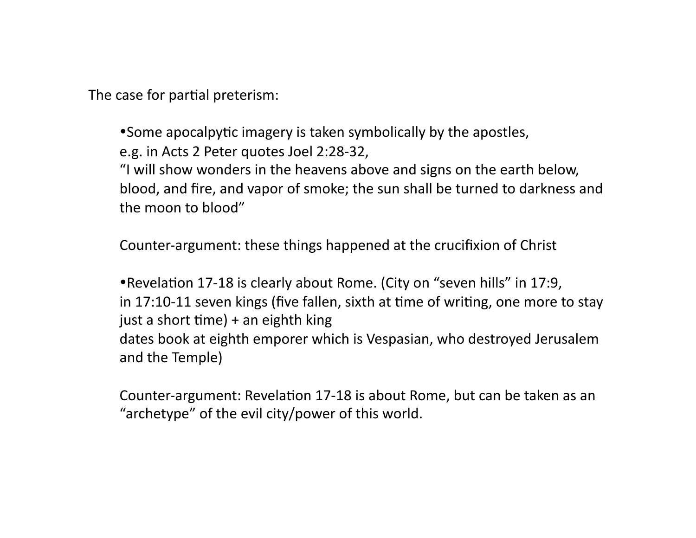The case for partial preterism:

• Some apocalpytic imagery is taken symbolically by the apostles, e.g. in Acts 2 Peter quotes Joel 2:28-32,

"I will show wonders in the heavens above and signs on the earth below, blood, and fire, and vapor of smoke; the sun shall be turned to darkness and the moon to blood"

Counter-argument: these things happened at the crucifixion of Christ

• Revelation 17-18 is clearly about Rome. (City on "seven hills" in 17:9, in 17:10-11 seven kings (five fallen, sixth at time of writing, one more to stay just a short time)  $+$  an eighth king dates book at eighth emporer which is Vespasian, who destroyed Jerusalem and the Temple)

Counter-argument: Revelation 17-18 is about Rome, but can be taken as an "archetype" of the evil city/power of this world.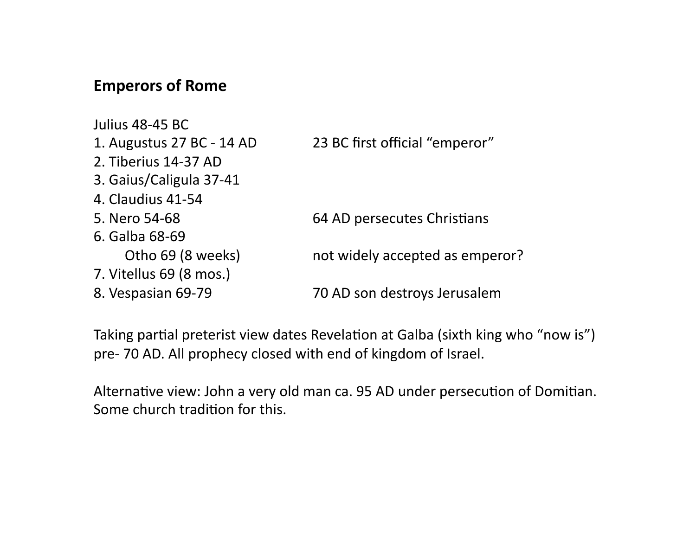## **Emperors of Rome**

Julius 48-45 BC 1. Augustus 27 BC - 14 AD 23 BC first official "emperor" 2. Tiberius 14-37 AD 3. Gaius/Caligula 37-41 4. Claudius 41-54 5. Nero 54-68 64 AD persecutes Christians 6. Galba 68-69 Otho 69 (8 weeks) hot widely accepted as emperor? 7. Vitellus 69 (8 mos.) 8. Vespasian 69-79 **8. In the State State State State State State State State State State State State State State State State State State State State State State State State State State State State State State State State** 

Taking partial preterist view dates Revelation at Galba (sixth king who "now is") pre- 70 AD. All prophecy closed with end of kingdom of Israel.

Alternative view: John a very old man ca. 95 AD under persecution of Domitian. Some church tradition for this.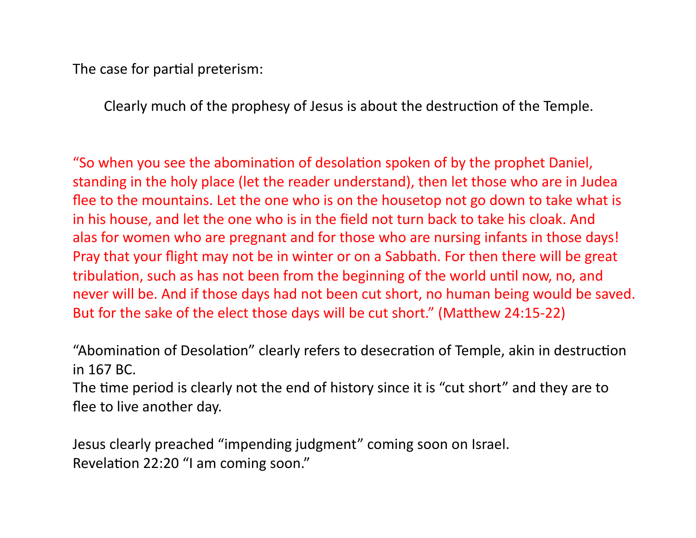The case for partial preterism:

Clearly much of the prophesy of Jesus is about the destruction of the Temple.

"So when you see the abomination of desolation spoken of by the prophet Daniel, standing in the holy place (let the reader understand), then let those who are in Judea flee to the mountains. Let the one who is on the housetop not go down to take what is in his house, and let the one who is in the field not turn back to take his cloak. And alas for women who are pregnant and for those who are nursing infants in those days! Pray that your flight may not be in winter or on a Sabbath. For then there will be great tribulation, such as has not been from the beginning of the world until now, no, and never will be. And if those days had not been cut short, no human being would be saved. But for the sake of the elect those days will be cut short." (Matthew 24:15-22)

"Abomination of Desolation" clearly refers to desecration of Temple, akin in destruction in 167 BC. 

The time period is clearly not the end of history since it is "cut short" and they are to flee to live another day.

Jesus clearly preached "impending judgment" coming soon on Israel. Revelation 22:20 "I am coming soon."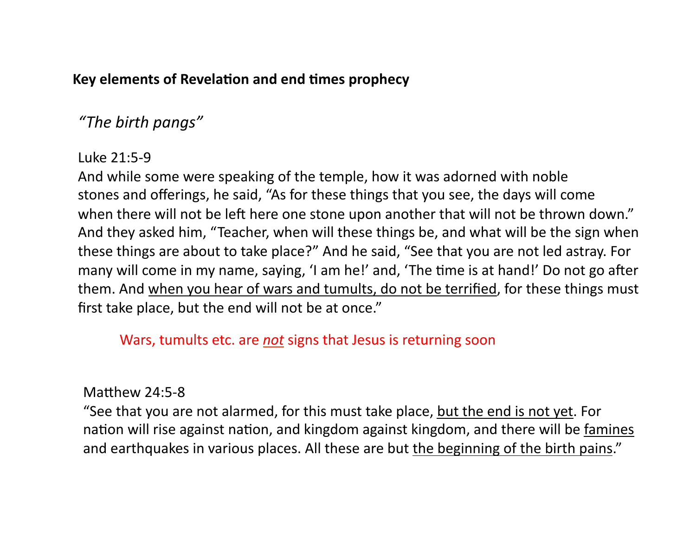### Key elements of Revelation and end times prophecy

# *"The birth pangs"*

# Luke 21:5-9

And while some were speaking of the temple, how it was adorned with noble stones and offerings, he said, "As for these things that you see, the days will come when there will not be left here one stone upon another that will not be thrown down." And they asked him, "Teacher, when will these things be, and what will be the sign when these things are about to take place?" And he said, "See that you are not led astray. For many will come in my name, saying, 'I am he!' and, 'The time is at hand!' Do not go after them. And when you hear of wars and tumults, do not be terrified, for these things must first take place, but the end will not be at once."

# Wars, tumults etc. are *not* signs that Jesus is returning soon

# Matthew  $24:5-8$

"See that you are not alarmed, for this must take place, but the end is not yet. For nation will rise against nation, and kingdom against kingdom, and there will be famines and earthquakes in various places. All these are but the beginning of the birth pains."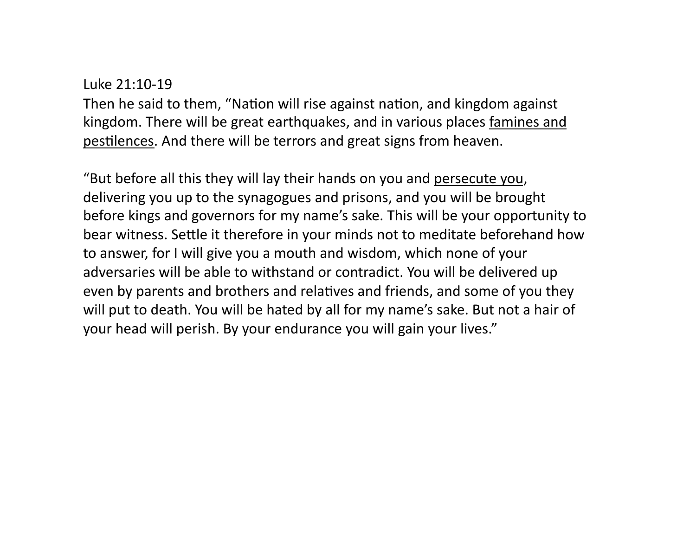#### Luke 21:10-19

Then he said to them, "Nation will rise against nation, and kingdom against kingdom. There will be great earthquakes, and in various places famines and pestilences. And there will be terrors and great signs from heaven.

"But before all this they will lay their hands on you and persecute you, delivering you up to the synagogues and prisons, and you will be brought before kings and governors for my name's sake. This will be your opportunity to bear witness. Settle it therefore in your minds not to meditate beforehand how to answer, for I will give you a mouth and wisdom, which none of your adversaries will be able to withstand or contradict. You will be delivered up even by parents and brothers and relatives and friends, and some of you they will put to death. You will be hated by all for my name's sake. But not a hair of your head will perish. By your endurance you will gain your lives."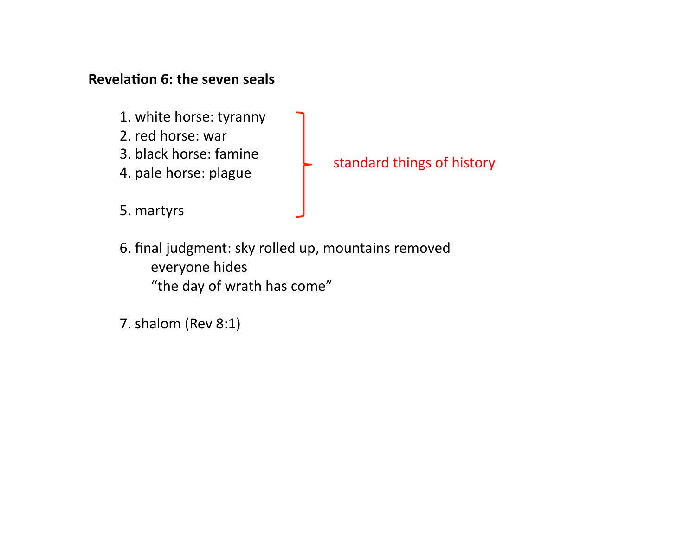### **Revelation 6: the seven seals**

- 1. white horse: tyranny
- 2. red horse: war
- 3. black horse: famine
- 4. pale horse: plague
- 5. martyrs

# standard things of history

- 6. final judgment: sky rolled up, mountains removed everyone hides "the day of wrath has come"
- 7. shalom (Rev 8:1)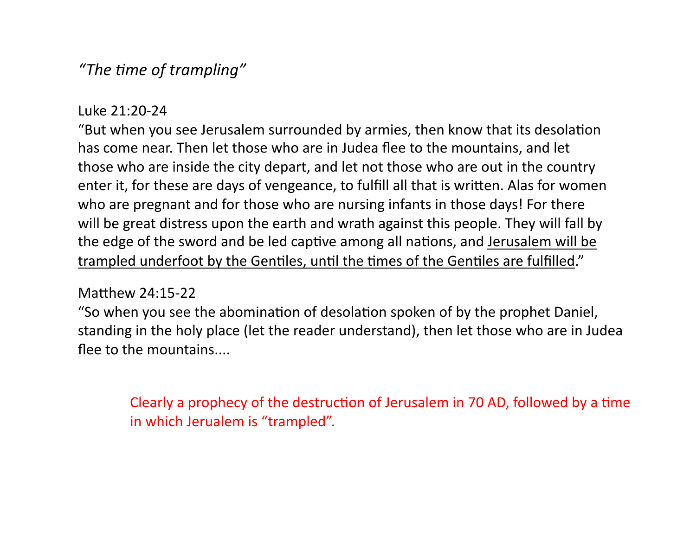# *"The 1me of trampling"*

### Luke 21:20-24

"But when you see Jerusalem surrounded by armies, then know that its desolation has come near. Then let those who are in Judea flee to the mountains, and let those who are inside the city depart, and let not those who are out in the country enter it, for these are days of vengeance, to fulfill all that is written. Alas for women who are pregnant and for those who are nursing infants in those days! For there will be great distress upon the earth and wrath against this people. They will fall by the edge of the sword and be led captive among all nations, and Jerusalem will be trampled underfoot by the Gentiles, until the times of the Gentiles are fulfilled."

### Matthew  $24:15-22$

"So when you see the abomination of desolation spoken of by the prophet Daniel, standing in the holy place (let the reader understand), then let those who are in Judea flee to the mountains....

Clearly a prophecy of the destruction of Jerusalem in 70 AD, followed by a time in which Jerualem is "trampled".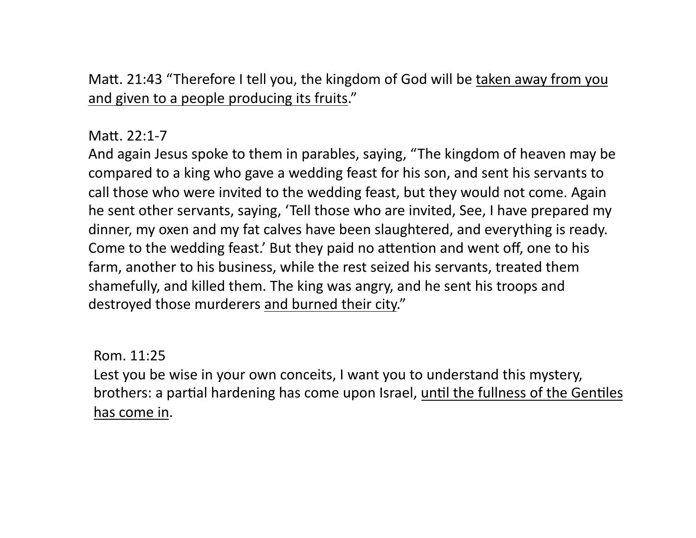Matt. 21:43 "Therefore I tell you, the kingdom of God will be taken away from you and given to a people producing its fruits."

### Matt. 22:1-7

And again Jesus spoke to them in parables, saying, "The kingdom of heaven may be compared to a king who gave a wedding feast for his son, and sent his servants to call those who were invited to the wedding feast, but they would not come. Again he sent other servants, saying, 'Tell those who are invited, See, I have prepared my dinner, my oxen and my fat calves have been slaughtered, and everything is ready. Come to the wedding feast.' But they paid no attention and went off, one to his farm, another to his business, while the rest seized his servants, treated them shamefully, and killed them. The king was angry, and he sent his troops and destroyed those murderers and burned their city."

### Rom. 11:25

Lest you be wise in your own conceits, I want you to understand this mystery, brothers: a partial hardening has come upon Israel, until the fullness of the Gentiles has come in.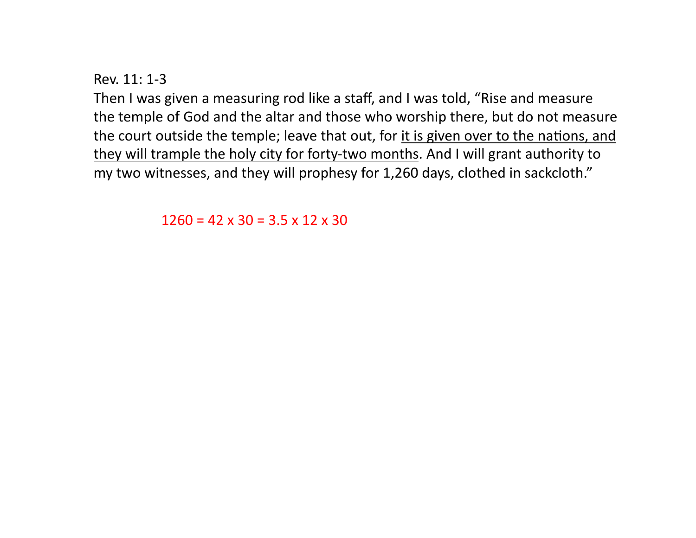Rev.  $11:1-3$ 

Then I was given a measuring rod like a staff, and I was told, "Rise and measure the temple of God and the altar and those who worship there, but do not measure the court outside the temple; leave that out, for it is given over to the nations, and they will trample the holy city for forty-two months. And I will grant authority to my two witnesses, and they will prophesy for 1,260 days, clothed in sackcloth."

 $1260 = 42 \times 30 = 3.5 \times 12 \times 30$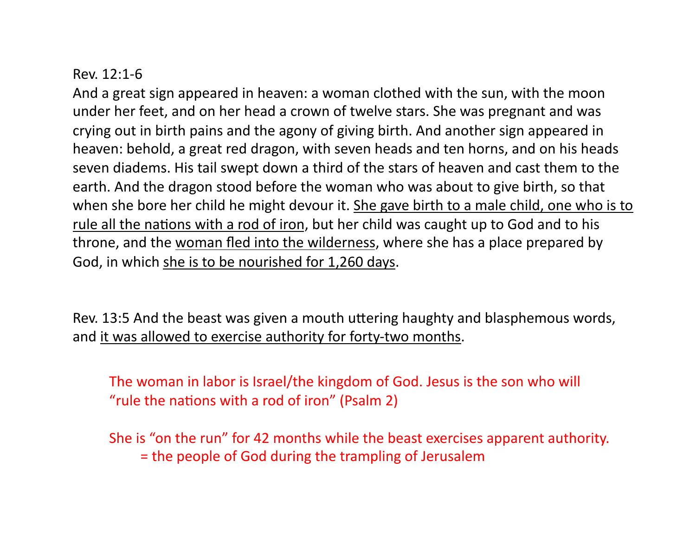### $Rev. 12:1-6$

And a great sign appeared in heaven: a woman clothed with the sun, with the moon under her feet, and on her head a crown of twelve stars. She was pregnant and was crying out in birth pains and the agony of giving birth. And another sign appeared in heaven: behold, a great red dragon, with seven heads and ten horns, and on his heads seven diadems. His tail swept down a third of the stars of heaven and cast them to the earth. And the dragon stood before the woman who was about to give birth, so that when she bore her child he might devour it. She gave birth to a male child, one who is to rule all the nations with a rod of iron, but her child was caught up to God and to his throne, and the woman fled into the wilderness, where she has a place prepared by God, in which she is to be nourished for 1,260 days.

Rev. 13:5 And the beast was given a mouth uttering haughty and blasphemous words, and it was allowed to exercise authority for forty-two months.

The woman in labor is Israel/the kingdom of God. Jesus is the son who will "rule the nations with a rod of iron" (Psalm 2)

She is "on the run" for 42 months while the beast exercises apparent authority. = the people of God during the trampling of Jerusalem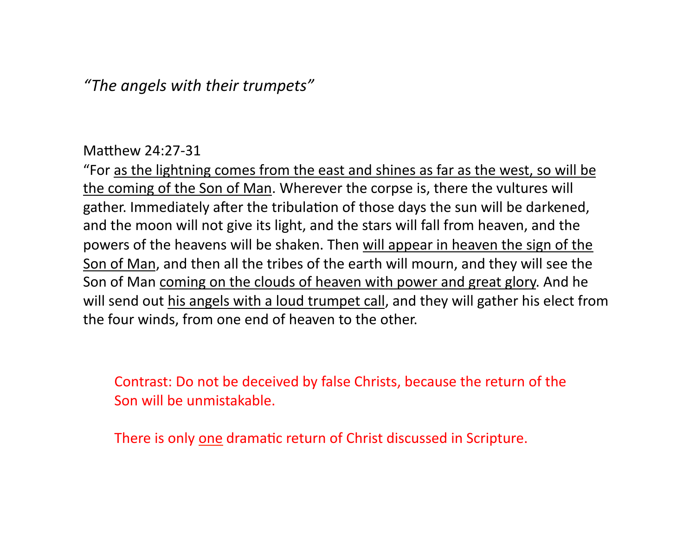*"The angels with their trumpets"* 

#### Matthew  $24:27-31$

"For as the lightning comes from the east and shines as far as the west, so will be the coming of the Son of Man. Wherever the corpse is, there the vultures will gather. Immediately after the tribulation of those days the sun will be darkened, and the moon will not give its light, and the stars will fall from heaven, and the powers of the heavens will be shaken. Then will appear in heaven the sign of the Son of Man, and then all the tribes of the earth will mourn, and they will see the Son of Man coming on the clouds of heaven with power and great glory. And he will send out his angels with a loud trumpet call, and they will gather his elect from the four winds, from one end of heaven to the other.

Contrast: Do not be deceived by false Christs, because the return of the Son will be unmistakable.

There is only one dramatic return of Christ discussed in Scripture.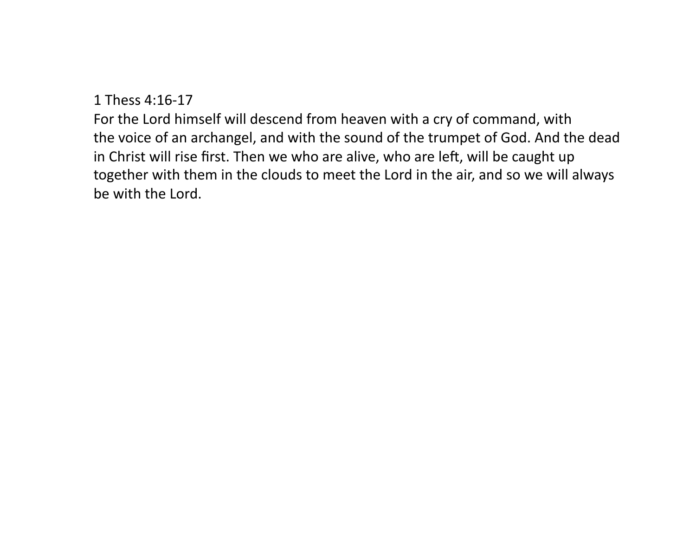1 Thess 4:16-17 

For the Lord himself will descend from heaven with a cry of command, with the voice of an archangel, and with the sound of the trumpet of God. And the dead in Christ will rise first. Then we who are alive, who are left, will be caught up together with them in the clouds to meet the Lord in the air, and so we will always be with the Lord.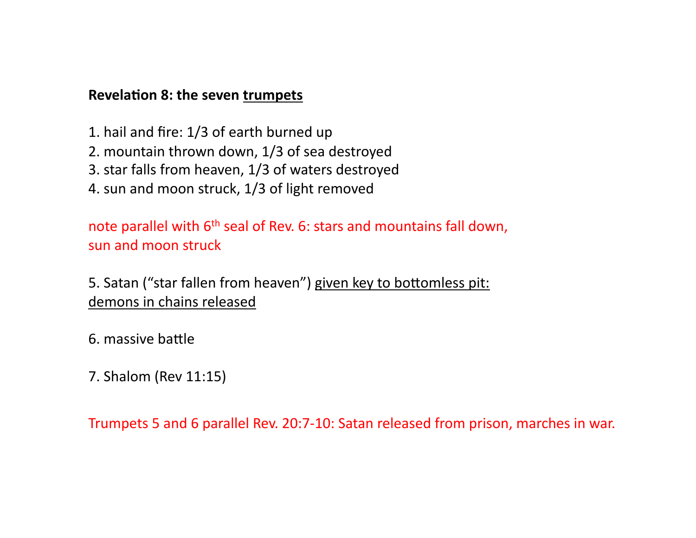### **Revelation 8: the seven trumpets**

- 1. hail and fire: 1/3 of earth burned up
- 2. mountain thrown down, 1/3 of sea destroyed
- 3. star falls from heaven, 1/3 of waters destroyed
- 4. sun and moon struck, 1/3 of light removed

note parallel with  $6<sup>th</sup>$  seal of Rev. 6: stars and mountains fall down, sun and moon struck

5. Satan ("star fallen from heaven") given key to bottomless pit: demons in chains released

- 6. massive battle
- 7. Shalom (Rev 11:15)

Trumpets 5 and 6 parallel Rev. 20:7-10: Satan released from prison, marches in war.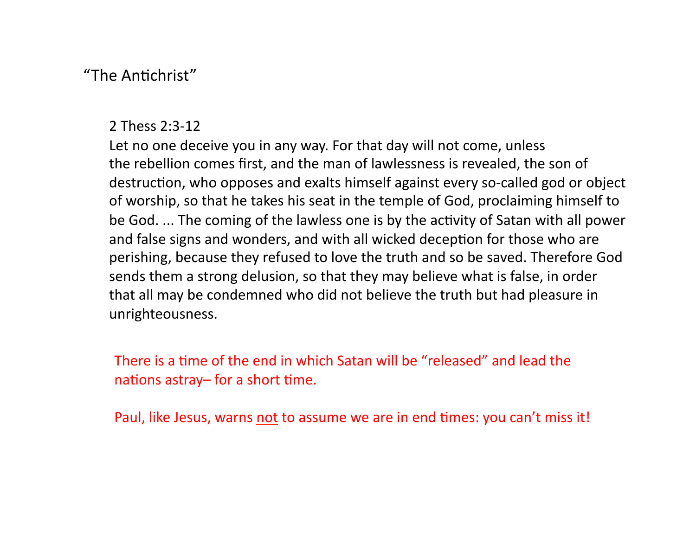## "The Antichrist"

#### 2 Thess 2:3-12

Let no one deceive you in any way. For that day will not come, unless the rebellion comes first, and the man of lawlessness is revealed, the son of destruction, who opposes and exalts himself against every so-called god or object of worship, so that he takes his seat in the temple of God, proclaiming himself to be God. ... The coming of the lawless one is by the activity of Satan with all power and false signs and wonders, and with all wicked deception for those who are perishing, because they refused to love the truth and so be saved. Therefore God sends them a strong delusion, so that they may believe what is false, in order that all may be condemned who did not believe the truth but had pleasure in unrighteousness. 

There is a time of the end in which Satan will be "released" and lead the nations astray– for a short time.

Paul, like Jesus, warns not to assume we are in end times: you can't miss it!